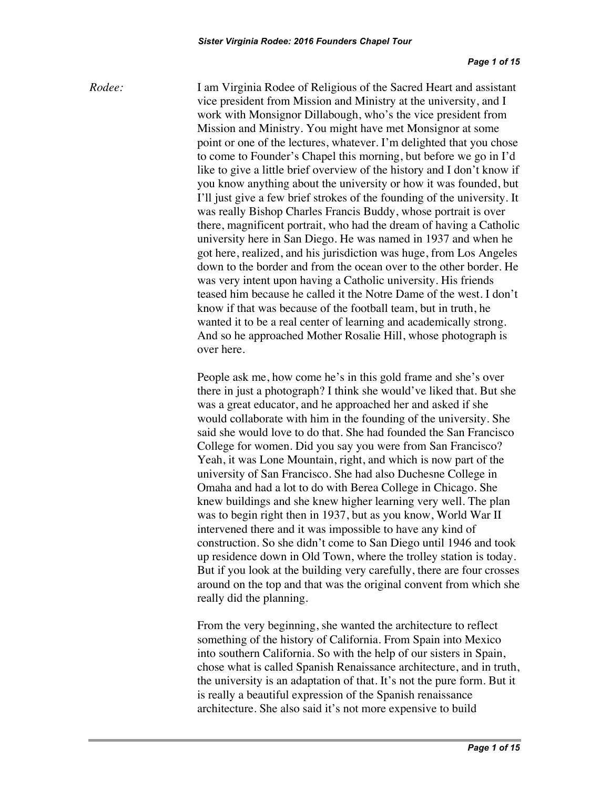*Rodee:* I am Virginia Rodee of Religious of the Sacred Heart and assistant vice president from Mission and Ministry at the university, and I work with Monsignor Dillabough, who's the vice president from Mission and Ministry. You might have met Monsignor at some point or one of the lectures, whatever. I'm delighted that you chose to come to Founder's Chapel this morning, but before we go in I'd like to give a little brief overview of the history and I don't know if you know anything about the university or how it was founded, but I'll just give a few brief strokes of the founding of the university. It was really Bishop Charles Francis Buddy, whose portrait is over there, magnificent portrait, who had the dream of having a Catholic university here in San Diego. He was named in 1937 and when he got here, realized, and his jurisdiction was huge, from Los Angeles down to the border and from the ocean over to the other border. He was very intent upon having a Catholic university. His friends teased him because he called it the Notre Dame of the west. I don't know if that was because of the football team, but in truth, he wanted it to be a real center of learning and academically strong. And so he approached Mother Rosalie Hill, whose photograph is over here.

> People ask me, how come he's in this gold frame and she's over there in just a photograph? I think she would've liked that. But she was a great educator, and he approached her and asked if she would collaborate with him in the founding of the university. She said she would love to do that. She had founded the San Francisco College for women. Did you say you were from San Francisco? Yeah, it was Lone Mountain, right, and which is now part of the university of San Francisco. She had also Duchesne College in Omaha and had a lot to do with Berea College in Chicago. She knew buildings and she knew higher learning very well. The plan was to begin right then in 1937, but as you know, World War II intervened there and it was impossible to have any kind of construction. So she didn't come to San Diego until 1946 and took up residence down in Old Town, where the trolley station is today. But if you look at the building very carefully, there are four crosses around on the top and that was the original convent from which she really did the planning.

> From the very beginning, she wanted the architecture to reflect something of the history of California. From Spain into Mexico into southern California. So with the help of our sisters in Spain, chose what is called Spanish Renaissance architecture, and in truth, the university is an adaptation of that. It's not the pure form. But it is really a beautiful expression of the Spanish renaissance architecture. She also said it's not more expensive to build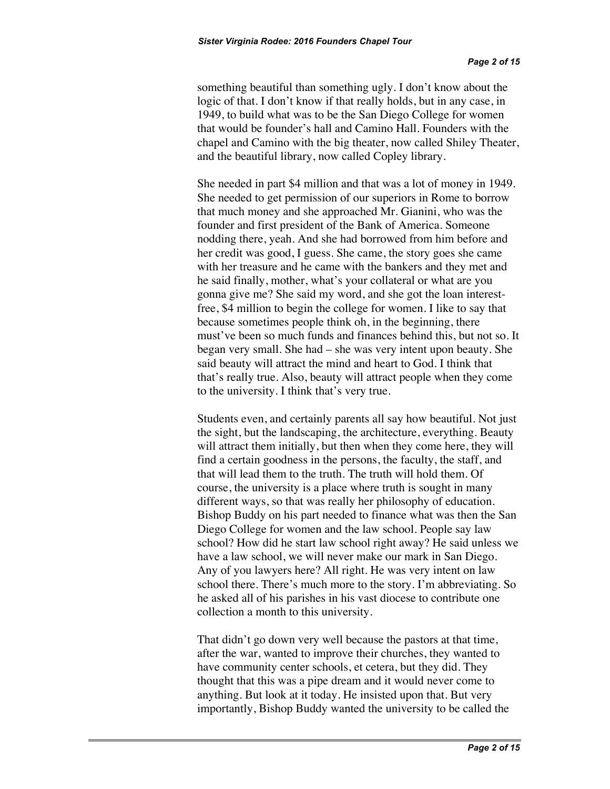something beautiful than something ugly. I don't know about the logic of that. I don't know if that really holds, but in any case, in 1949, to build what was to be the San Diego College for women that would be founder's hall and Camino Hall. Founders with the chapel and Camino with the big theater, now called Shiley Theater, and the beautiful library, now called Copley library.

She needed in part \$4 million and that was a lot of money in 1949. She needed to get permission of our superiors in Rome to borrow that much money and she approached Mr. Gianini, who was the founder and first president of the Bank of America. Someone nodding there, yeah. And she had borrowed from him before and her credit was good, I guess. She came, the story goes she came with her treasure and he came with the bankers and they met and he said finally, mother, what's your collateral or what are you gonna give me? She said my word, and she got the loan interestfree, \$4 million to begin the college for women. I like to say that because sometimes people think oh, in the beginning, there must've been so much funds and finances behind this, but not so. It began very small. She had – she was very intent upon beauty. She said beauty will attract the mind and heart to God. I think that that's really true. Also, beauty will attract people when they come to the university. I think that's very true.

Students even, and certainly parents all say how beautiful. Not just the sight, but the landscaping, the architecture, everything. Beauty will attract them initially, but then when they come here, they will find a certain goodness in the persons, the faculty, the staff, and that will lead them to the truth. The truth will hold them. Of course, the university is a place where truth is sought in many different ways, so that was really her philosophy of education. Bishop Buddy on his part needed to finance what was then the San Diego College for women and the law school. People say law school? How did he start law school right away? He said unless we have a law school, we will never make our mark in San Diego. Any of you lawyers here? All right. He was very intent on law school there. There's much more to the story. I'm abbreviating. So he asked all of his parishes in his vast diocese to contribute one collection a month to this university.

That didn't go down very well because the pastors at that time, after the war, wanted to improve their churches, they wanted to have community center schools, et cetera, but they did. They thought that this was a pipe dream and it would never come to anything. But look at it today. He insisted upon that. But very importantly, Bishop Buddy wanted the university to be called the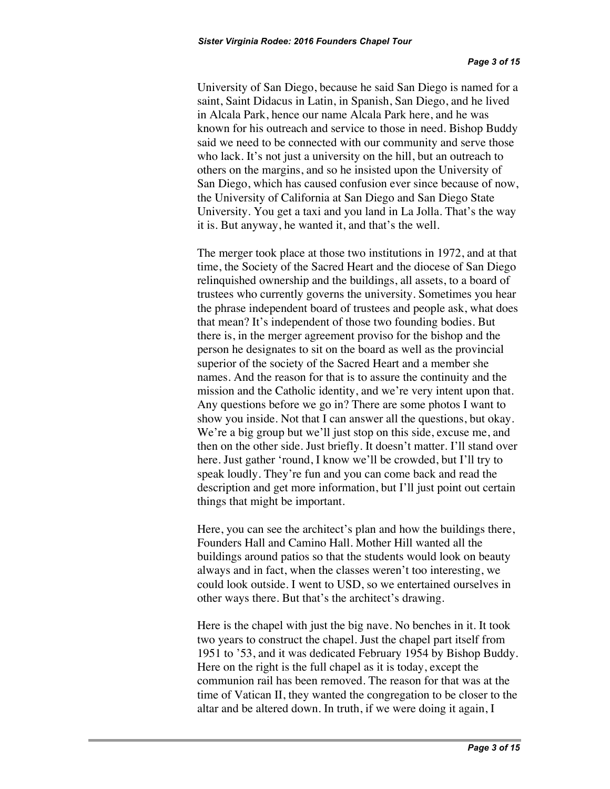University of San Diego, because he said San Diego is named for a saint, Saint Didacus in Latin, in Spanish, San Diego, and he lived in Alcala Park, hence our name Alcala Park here, and he was known for his outreach and service to those in need. Bishop Buddy said we need to be connected with our community and serve those who lack. It's not just a university on the hill, but an outreach to others on the margins, and so he insisted upon the University of San Diego, which has caused confusion ever since because of now, the University of California at San Diego and San Diego State University. You get a taxi and you land in La Jolla. That's the way it is. But anyway, he wanted it, and that's the well.

The merger took place at those two institutions in 1972, and at that time, the Society of the Sacred Heart and the diocese of San Diego relinquished ownership and the buildings, all assets, to a board of trustees who currently governs the university. Sometimes you hear the phrase independent board of trustees and people ask, what does that mean? It's independent of those two founding bodies. But there is, in the merger agreement proviso for the bishop and the person he designates to sit on the board as well as the provincial superior of the society of the Sacred Heart and a member she names. And the reason for that is to assure the continuity and the mission and the Catholic identity, and we're very intent upon that. Any questions before we go in? There are some photos I want to show you inside. Not that I can answer all the questions, but okay. We're a big group but we'll just stop on this side, excuse me, and then on the other side. Just briefly. It doesn't matter. I'll stand over here. Just gather 'round, I know we'll be crowded, but I'll try to speak loudly. They're fun and you can come back and read the description and get more information, but I'll just point out certain things that might be important.

Here, you can see the architect's plan and how the buildings there, Founders Hall and Camino Hall. Mother Hill wanted all the buildings around patios so that the students would look on beauty always and in fact, when the classes weren't too interesting, we could look outside. I went to USD, so we entertained ourselves in other ways there. But that's the architect's drawing.

Here is the chapel with just the big nave. No benches in it. It took two years to construct the chapel. Just the chapel part itself from 1951 to '53, and it was dedicated February 1954 by Bishop Buddy. Here on the right is the full chapel as it is today, except the communion rail has been removed. The reason for that was at the time of Vatican II, they wanted the congregation to be closer to the altar and be altered down. In truth, if we were doing it again, I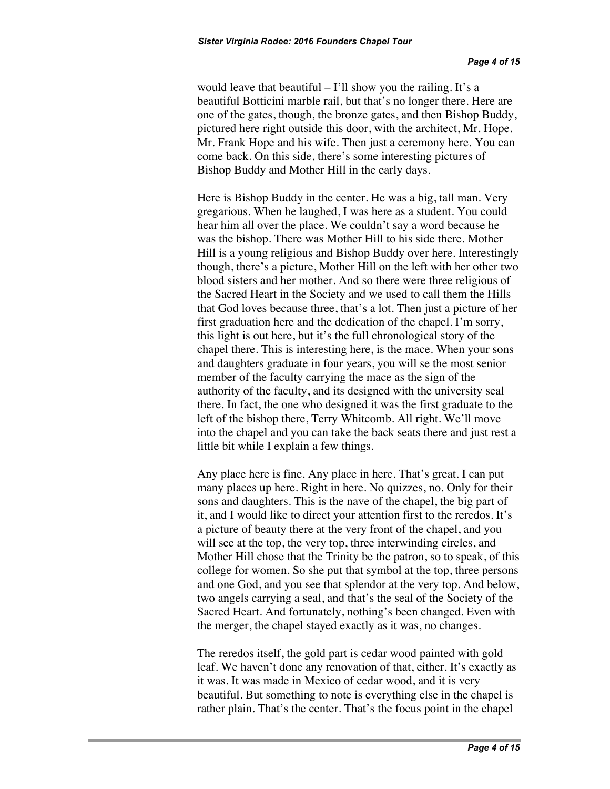would leave that beautiful  $-1$ 'll show you the railing. It's a beautiful Botticini marble rail, but that's no longer there. Here are one of the gates, though, the bronze gates, and then Bishop Buddy, pictured here right outside this door, with the architect, Mr. Hope. Mr. Frank Hope and his wife. Then just a ceremony here. You can come back. On this side, there's some interesting pictures of Bishop Buddy and Mother Hill in the early days.

Here is Bishop Buddy in the center. He was a big, tall man. Very gregarious. When he laughed, I was here as a student. You could hear him all over the place. We couldn't say a word because he was the bishop. There was Mother Hill to his side there. Mother Hill is a young religious and Bishop Buddy over here. Interestingly though, there's a picture, Mother Hill on the left with her other two blood sisters and her mother. And so there were three religious of the Sacred Heart in the Society and we used to call them the Hills that God loves because three, that's a lot. Then just a picture of her first graduation here and the dedication of the chapel. I'm sorry, this light is out here, but it's the full chronological story of the chapel there. This is interesting here, is the mace. When your sons and daughters graduate in four years, you will se the most senior member of the faculty carrying the mace as the sign of the authority of the faculty, and its designed with the university seal there. In fact, the one who designed it was the first graduate to the left of the bishop there, Terry Whitcomb. All right. We'll move into the chapel and you can take the back seats there and just rest a little bit while I explain a few things.

Any place here is fine. Any place in here. That's great. I can put many places up here. Right in here. No quizzes, no. Only for their sons and daughters. This is the nave of the chapel, the big part of it, and I would like to direct your attention first to the reredos. It's a picture of beauty there at the very front of the chapel, and you will see at the top, the very top, three interwinding circles, and Mother Hill chose that the Trinity be the patron, so to speak, of this college for women. So she put that symbol at the top, three persons and one God, and you see that splendor at the very top. And below, two angels carrying a seal, and that's the seal of the Society of the Sacred Heart. And fortunately, nothing's been changed. Even with the merger, the chapel stayed exactly as it was, no changes.

The reredos itself, the gold part is cedar wood painted with gold leaf. We haven't done any renovation of that, either. It's exactly as it was. It was made in Mexico of cedar wood, and it is very beautiful. But something to note is everything else in the chapel is rather plain. That's the center. That's the focus point in the chapel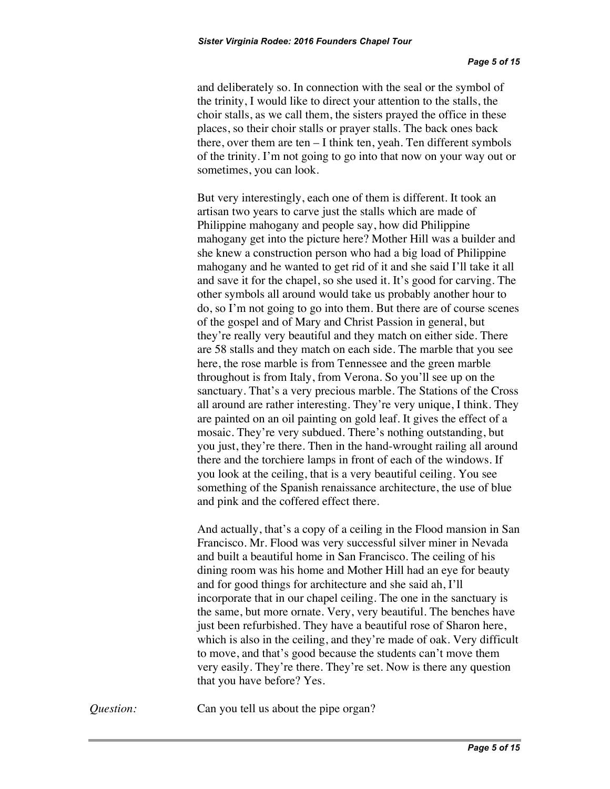and deliberately so. In connection with the seal or the symbol of the trinity, I would like to direct your attention to the stalls, the choir stalls, as we call them, the sisters prayed the office in these places, so their choir stalls or prayer stalls. The back ones back there, over them are ten – I think ten, yeah. Ten different symbols of the trinity. I'm not going to go into that now on your way out or sometimes, you can look.

But very interestingly, each one of them is different. It took an artisan two years to carve just the stalls which are made of Philippine mahogany and people say, how did Philippine mahogany get into the picture here? Mother Hill was a builder and she knew a construction person who had a big load of Philippine mahogany and he wanted to get rid of it and she said I'll take it all and save it for the chapel, so she used it. It's good for carving. The other symbols all around would take us probably another hour to do, so I'm not going to go into them. But there are of course scenes of the gospel and of Mary and Christ Passion in general, but they're really very beautiful and they match on either side. There are 58 stalls and they match on each side. The marble that you see here, the rose marble is from Tennessee and the green marble throughout is from Italy, from Verona. So you'll see up on the sanctuary. That's a very precious marble. The Stations of the Cross all around are rather interesting. They're very unique, I think. They are painted on an oil painting on gold leaf. It gives the effect of a mosaic. They're very subdued. There's nothing outstanding, but you just, they're there. Then in the hand-wrought railing all around there and the torchiere lamps in front of each of the windows. If you look at the ceiling, that is a very beautiful ceiling. You see something of the Spanish renaissance architecture, the use of blue and pink and the coffered effect there.

And actually, that's a copy of a ceiling in the Flood mansion in San Francisco. Mr. Flood was very successful silver miner in Nevada and built a beautiful home in San Francisco. The ceiling of his dining room was his home and Mother Hill had an eye for beauty and for good things for architecture and she said ah, I'll incorporate that in our chapel ceiling. The one in the sanctuary is the same, but more ornate. Very, very beautiful. The benches have just been refurbished. They have a beautiful rose of Sharon here, which is also in the ceiling, and they're made of oak. Very difficult to move, and that's good because the students can't move them very easily. They're there. They're set. Now is there any question that you have before? Yes.

*Question:* Can you tell us about the pipe organ?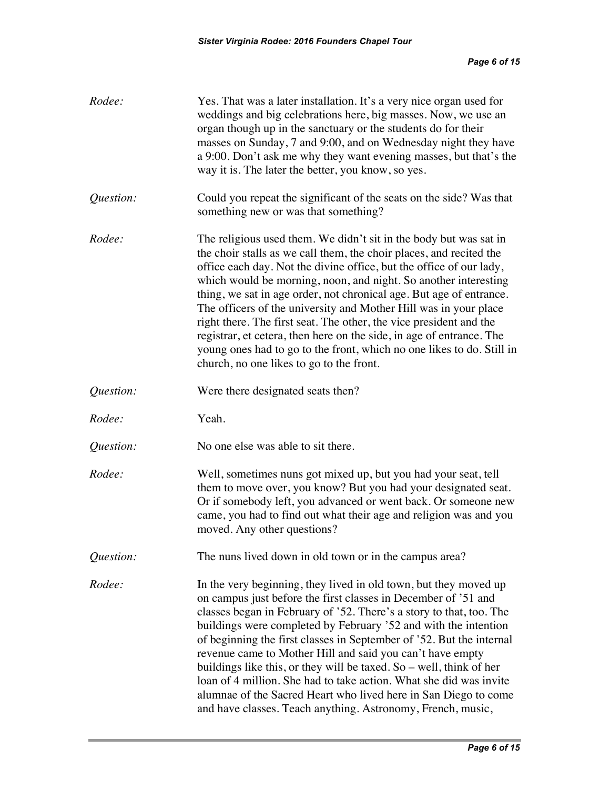| Rodee:    | Yes. That was a later installation. It's a very nice organ used for<br>weddings and big celebrations here, big masses. Now, we use an<br>organ though up in the sanctuary or the students do for their<br>masses on Sunday, 7 and 9:00, and on Wednesday night they have<br>a 9:00. Don't ask me why they want evening masses, but that's the<br>way it is. The later the better, you know, so yes.                                                                                                                                                                                                                                                                                                |
|-----------|----------------------------------------------------------------------------------------------------------------------------------------------------------------------------------------------------------------------------------------------------------------------------------------------------------------------------------------------------------------------------------------------------------------------------------------------------------------------------------------------------------------------------------------------------------------------------------------------------------------------------------------------------------------------------------------------------|
| Question: | Could you repeat the significant of the seats on the side? Was that<br>something new or was that something?                                                                                                                                                                                                                                                                                                                                                                                                                                                                                                                                                                                        |
| Rodee:    | The religious used them. We didn't sit in the body but was sat in<br>the choir stalls as we call them, the choir places, and recited the<br>office each day. Not the divine office, but the office of our lady,<br>which would be morning, noon, and night. So another interesting<br>thing, we sat in age order, not chronical age. But age of entrance.<br>The officers of the university and Mother Hill was in your place<br>right there. The first seat. The other, the vice president and the<br>registrar, et cetera, then here on the side, in age of entrance. The<br>young ones had to go to the front, which no one likes to do. Still in<br>church, no one likes to go to the front.   |
| Question: | Were there designated seats then?                                                                                                                                                                                                                                                                                                                                                                                                                                                                                                                                                                                                                                                                  |
| Rodee:    | Yeah.                                                                                                                                                                                                                                                                                                                                                                                                                                                                                                                                                                                                                                                                                              |
| Question: | No one else was able to sit there.                                                                                                                                                                                                                                                                                                                                                                                                                                                                                                                                                                                                                                                                 |
| Rodee:    | Well, sometimes nuns got mixed up, but you had your seat, tell<br>them to move over, you know? But you had your designated seat.<br>Or if somebody left, you advanced or went back. Or someone new<br>came, you had to find out what their age and religion was and you<br>moved. Any other questions?                                                                                                                                                                                                                                                                                                                                                                                             |
| Question: | The nuns lived down in old town or in the campus area?                                                                                                                                                                                                                                                                                                                                                                                                                                                                                                                                                                                                                                             |
| Rodee:    | In the very beginning, they lived in old town, but they moved up<br>on campus just before the first classes in December of '51 and<br>classes began in February of '52. There's a story to that, too. The<br>buildings were completed by February '52 and with the intention<br>of beginning the first classes in September of '52. But the internal<br>revenue came to Mother Hill and said you can't have empty<br>buildings like this, or they will be taxed. So $-$ well, think of her<br>loan of 4 million. She had to take action. What she did was invite<br>alumnae of the Sacred Heart who lived here in San Diego to come<br>and have classes. Teach anything. Astronomy, French, music, |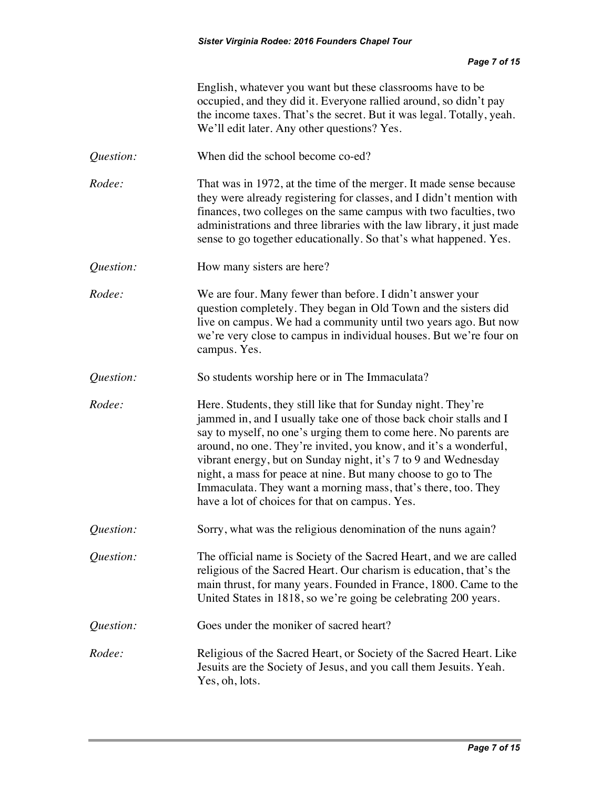|           | English, whatever you want but these classrooms have to be.<br>occupied, and they did it. Everyone rallied around, so didn't pay<br>the income taxes. That's the secret. But it was legal. Totally, yeah.<br>We'll edit later. Any other questions? Yes.                                                                                                                                                                                                                                                                           |
|-----------|------------------------------------------------------------------------------------------------------------------------------------------------------------------------------------------------------------------------------------------------------------------------------------------------------------------------------------------------------------------------------------------------------------------------------------------------------------------------------------------------------------------------------------|
| Question: | When did the school become co-ed?                                                                                                                                                                                                                                                                                                                                                                                                                                                                                                  |
| Rodee:    | That was in 1972, at the time of the merger. It made sense because<br>they were already registering for classes, and I didn't mention with<br>finances, two colleges on the same campus with two faculties, two<br>administrations and three libraries with the law library, it just made<br>sense to go together educationally. So that's what happened. Yes.                                                                                                                                                                     |
| Question: | How many sisters are here?                                                                                                                                                                                                                                                                                                                                                                                                                                                                                                         |
| Rodee:    | We are four. Many fewer than before. I didn't answer your<br>question completely. They began in Old Town and the sisters did<br>live on campus. We had a community until two years ago. But now<br>we're very close to campus in individual houses. But we're four on<br>campus. Yes.                                                                                                                                                                                                                                              |
| Question: | So students worship here or in The Immaculata?                                                                                                                                                                                                                                                                                                                                                                                                                                                                                     |
| Rodee:    | Here. Students, they still like that for Sunday night. They're<br>jammed in, and I usually take one of those back choir stalls and I<br>say to myself, no one's urging them to come here. No parents are<br>around, no one. They're invited, you know, and it's a wonderful,<br>vibrant energy, but on Sunday night, it's 7 to 9 and Wednesday<br>night, a mass for peace at nine. But many choose to go to The<br>Immaculata. They want a morning mass, that's there, too. They<br>have a lot of choices for that on campus. Yes. |
| Question: | Sorry, what was the religious denomination of the nuns again?                                                                                                                                                                                                                                                                                                                                                                                                                                                                      |
| Question: | The official name is Society of the Sacred Heart, and we are called<br>religious of the Sacred Heart. Our charism is education, that's the<br>main thrust, for many years. Founded in France, 1800. Came to the<br>United States in 1818, so we're going be celebrating 200 years.                                                                                                                                                                                                                                                 |
| Question: | Goes under the moniker of sacred heart?                                                                                                                                                                                                                                                                                                                                                                                                                                                                                            |
| Rodee:    | Religious of the Sacred Heart, or Society of the Sacred Heart. Like<br>Jesuits are the Society of Jesus, and you call them Jesuits. Yeah.<br>Yes, oh, lots.                                                                                                                                                                                                                                                                                                                                                                        |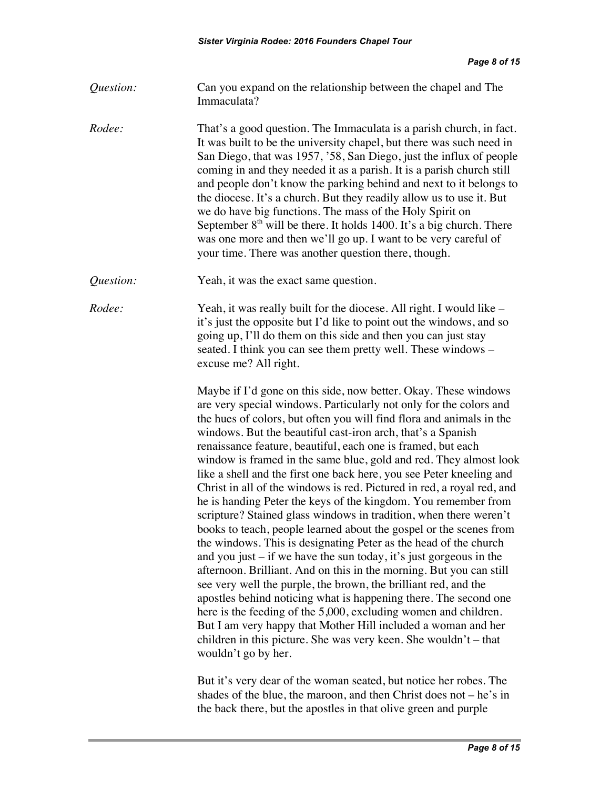| Question: | Can you expand on the relationship between the chapel and The |
|-----------|---------------------------------------------------------------|
|           | Immaculata?                                                   |

*Rodee:* That's a good question. The Immaculata is a parish church, in fact. It was built to be the university chapel, but there was such need in San Diego, that was 1957, '58, San Diego, just the influx of people coming in and they needed it as a parish. It is a parish church still and people don't know the parking behind and next to it belongs to the diocese. It's a church. But they readily allow us to use it. But we do have big functions. The mass of the Holy Spirit on September  $8<sup>th</sup>$  will be there. It holds 1400. It's a big church. There was one more and then we'll go up. I want to be very careful of your time. There was another question there, though.

*Question:* Yeah, it was the exact same question.

*Rodee:* Yeah, it was really built for the diocese. All right. I would like – it's just the opposite but I'd like to point out the windows, and so going up, I'll do them on this side and then you can just stay seated. I think you can see them pretty well. These windows – excuse me? All right.

> Maybe if I'd gone on this side, now better. Okay. These windows are very special windows. Particularly not only for the colors and the hues of colors, but often you will find flora and animals in the windows. But the beautiful cast-iron arch, that's a Spanish renaissance feature, beautiful, each one is framed, but each window is framed in the same blue, gold and red. They almost look like a shell and the first one back here, you see Peter kneeling and Christ in all of the windows is red. Pictured in red, a royal red, and he is handing Peter the keys of the kingdom. You remember from scripture? Stained glass windows in tradition, when there weren't books to teach, people learned about the gospel or the scenes from the windows. This is designating Peter as the head of the church and you just – if we have the sun today, it's just gorgeous in the afternoon. Brilliant. And on this in the morning. But you can still see very well the purple, the brown, the brilliant red, and the apostles behind noticing what is happening there. The second one here is the feeding of the 5,000, excluding women and children. But I am very happy that Mother Hill included a woman and her children in this picture. She was very keen. She wouldn't – that wouldn't go by her.

But it's very dear of the woman seated, but notice her robes. The shades of the blue, the maroon, and then Christ does not – he's in the back there, but the apostles in that olive green and purple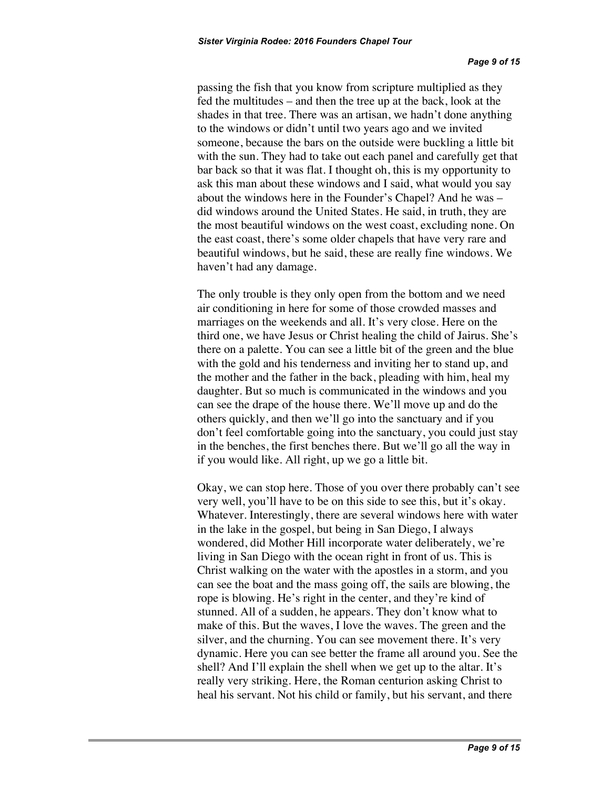passing the fish that you know from scripture multiplied as they fed the multitudes – and then the tree up at the back, look at the shades in that tree. There was an artisan, we hadn't done anything to the windows or didn't until two years ago and we invited someone, because the bars on the outside were buckling a little bit with the sun. They had to take out each panel and carefully get that bar back so that it was flat. I thought oh, this is my opportunity to ask this man about these windows and I said, what would you say about the windows here in the Founder's Chapel? And he was – did windows around the United States. He said, in truth, they are the most beautiful windows on the west coast, excluding none. On the east coast, there's some older chapels that have very rare and beautiful windows, but he said, these are really fine windows. We haven't had any damage.

The only trouble is they only open from the bottom and we need air conditioning in here for some of those crowded masses and marriages on the weekends and all. It's very close. Here on the third one, we have Jesus or Christ healing the child of Jairus. She's there on a palette. You can see a little bit of the green and the blue with the gold and his tenderness and inviting her to stand up, and the mother and the father in the back, pleading with him, heal my daughter. But so much is communicated in the windows and you can see the drape of the house there. We'll move up and do the others quickly, and then we'll go into the sanctuary and if you don't feel comfortable going into the sanctuary, you could just stay in the benches, the first benches there. But we'll go all the way in if you would like. All right, up we go a little bit.

Okay, we can stop here. Those of you over there probably can't see very well, you'll have to be on this side to see this, but it's okay. Whatever. Interestingly, there are several windows here with water in the lake in the gospel, but being in San Diego, I always wondered, did Mother Hill incorporate water deliberately, we're living in San Diego with the ocean right in front of us. This is Christ walking on the water with the apostles in a storm, and you can see the boat and the mass going off, the sails are blowing, the rope is blowing. He's right in the center, and they're kind of stunned. All of a sudden, he appears. They don't know what to make of this. But the waves, I love the waves. The green and the silver, and the churning. You can see movement there. It's very dynamic. Here you can see better the frame all around you. See the shell? And I'll explain the shell when we get up to the altar. It's really very striking. Here, the Roman centurion asking Christ to heal his servant. Not his child or family, but his servant, and there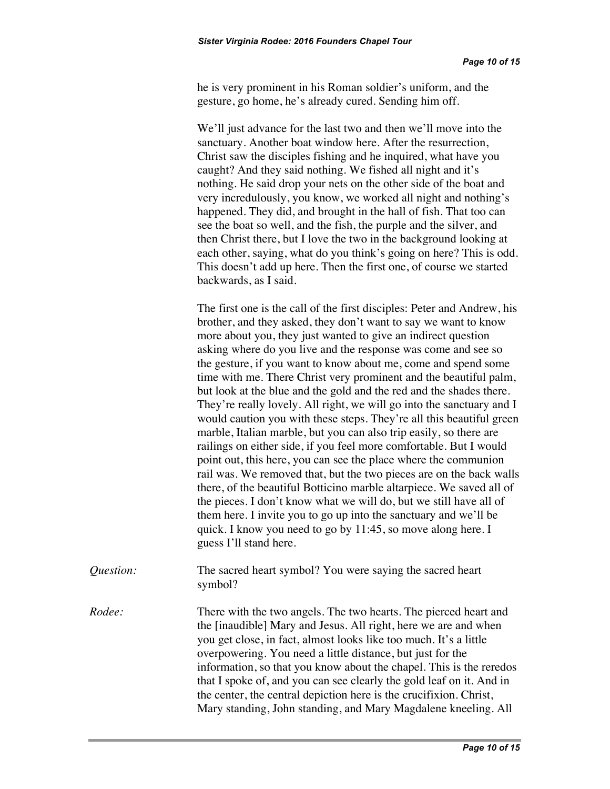he is very prominent in his Roman soldier's uniform, and the gesture, go home, he's already cured. Sending him off.

We'll just advance for the last two and then we'll move into the sanctuary. Another boat window here. After the resurrection, Christ saw the disciples fishing and he inquired, what have you caught? And they said nothing. We fished all night and it's nothing. He said drop your nets on the other side of the boat and very incredulously, you know, we worked all night and nothing's happened. They did, and brought in the hall of fish. That too can see the boat so well, and the fish, the purple and the silver, and then Christ there, but I love the two in the background looking at each other, saying, what do you think's going on here? This is odd. This doesn't add up here. Then the first one, of course we started backwards, as I said.

The first one is the call of the first disciples: Peter and Andrew, his brother, and they asked, they don't want to say we want to know more about you, they just wanted to give an indirect question asking where do you live and the response was come and see so the gesture, if you want to know about me, come and spend some time with me. There Christ very prominent and the beautiful palm, but look at the blue and the gold and the red and the shades there. They're really lovely. All right, we will go into the sanctuary and I would caution you with these steps. They're all this beautiful green marble, Italian marble, but you can also trip easily, so there are railings on either side, if you feel more comfortable. But I would point out, this here, you can see the place where the communion rail was. We removed that, but the two pieces are on the back walls there, of the beautiful Botticino marble altarpiece. We saved all of the pieces. I don't know what we will do, but we still have all of them here. I invite you to go up into the sanctuary and we'll be quick. I know you need to go by 11:45, so move along here. I guess I'll stand here.

*Question:* The sacred heart symbol? You were saying the sacred heart symbol?

*Rodee:* There with the two angels. The two hearts. The pierced heart and the [inaudible] Mary and Jesus. All right, here we are and when you get close, in fact, almost looks like too much. It's a little overpowering. You need a little distance, but just for the information, so that you know about the chapel. This is the reredos that I spoke of, and you can see clearly the gold leaf on it. And in the center, the central depiction here is the crucifixion. Christ, Mary standing, John standing, and Mary Magdalene kneeling. All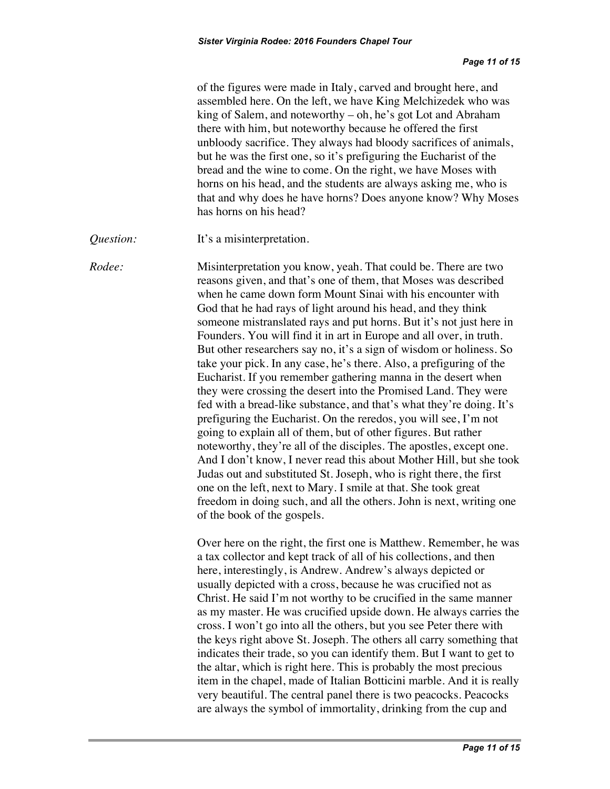|           | of the figures were made in Italy, carved and brought here, and<br>assembled here. On the left, we have King Melchizedek who was<br>king of Salem, and noteworthy – oh, he's got Lot and Abraham<br>there with him, but noteworthy because he offered the first<br>unbloody sacrifice. They always had bloody sacrifices of animals,<br>but he was the first one, so it's prefiguring the Eucharist of the<br>bread and the wine to come. On the right, we have Moses with<br>horns on his head, and the students are always asking me, who is<br>that and why does he have horns? Does anyone know? Why Moses<br>has horns on his head?                                                                                                                                                                                                                                                                                                                                                                                                                                                                                                                                                                                                                                                                     |
|-----------|--------------------------------------------------------------------------------------------------------------------------------------------------------------------------------------------------------------------------------------------------------------------------------------------------------------------------------------------------------------------------------------------------------------------------------------------------------------------------------------------------------------------------------------------------------------------------------------------------------------------------------------------------------------------------------------------------------------------------------------------------------------------------------------------------------------------------------------------------------------------------------------------------------------------------------------------------------------------------------------------------------------------------------------------------------------------------------------------------------------------------------------------------------------------------------------------------------------------------------------------------------------------------------------------------------------|
| Question: | It's a misinterpretation.                                                                                                                                                                                                                                                                                                                                                                                                                                                                                                                                                                                                                                                                                                                                                                                                                                                                                                                                                                                                                                                                                                                                                                                                                                                                                    |
| Rodee:    | Misinterpretation you know, yeah. That could be. There are two<br>reasons given, and that's one of them, that Moses was described<br>when he came down form Mount Sinai with his encounter with<br>God that he had rays of light around his head, and they think<br>someone mistranslated rays and put horns. But it's not just here in<br>Founders. You will find it in art in Europe and all over, in truth.<br>But other researchers say no, it's a sign of wisdom or holiness. So<br>take your pick. In any case, he's there. Also, a prefiguring of the<br>Eucharist. If you remember gathering manna in the desert when<br>they were crossing the desert into the Promised Land. They were<br>fed with a bread-like substance, and that's what they're doing. It's<br>prefiguring the Eucharist. On the reredos, you will see, I'm not<br>going to explain all of them, but of other figures. But rather<br>noteworthy, they're all of the disciples. The apostles, except one.<br>And I don't know, I never read this about Mother Hill, but she took<br>Judas out and substituted St. Joseph, who is right there, the first<br>one on the left, next to Mary. I smile at that. She took great<br>freedom in doing such, and all the others. John is next, writing one<br>of the book of the gospels. |
|           | Over here on the right, the first one is Matthew. Remember, he was<br>a tax collector and kept track of all of his collections, and then<br>here, interestingly, is Andrew. Andrew's always depicted or<br>usually depicted with a cross, because he was crucified not as<br>Christ. He said I'm not worthy to be crucified in the same manner<br>as my master. He was crucified upside down. He always carries the<br>cross. I won't go into all the others, but you see Peter there with<br>the keys right above St. Joseph. The others all carry something that<br>indicates their trade, so you can identify them. But I want to get to<br>the altar, which is right here. This is probably the most precious<br>item in the chapel, made of Italian Botticini marble. And it is really<br>very beautiful. The central panel there is two peacocks. Peacocks<br>are always the symbol of immortality, drinking from the cup and                                                                                                                                                                                                                                                                                                                                                                          |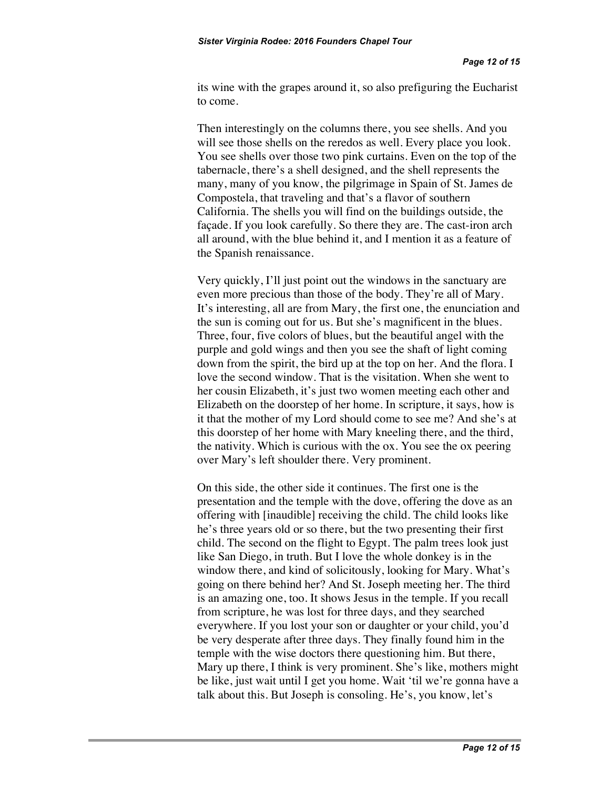its wine with the grapes around it, so also prefiguring the Eucharist to come.

Then interestingly on the columns there, you see shells. And you will see those shells on the reredos as well. Every place you look. You see shells over those two pink curtains. Even on the top of the tabernacle, there's a shell designed, and the shell represents the many, many of you know, the pilgrimage in Spain of St. James de Compostela, that traveling and that's a flavor of southern California. The shells you will find on the buildings outside, the façade. If you look carefully. So there they are. The cast-iron arch all around, with the blue behind it, and I mention it as a feature of the Spanish renaissance.

Very quickly, I'll just point out the windows in the sanctuary are even more precious than those of the body. They're all of Mary. It's interesting, all are from Mary, the first one, the enunciation and the sun is coming out for us. But she's magnificent in the blues. Three, four, five colors of blues, but the beautiful angel with the purple and gold wings and then you see the shaft of light coming down from the spirit, the bird up at the top on her. And the flora. I love the second window. That is the visitation. When she went to her cousin Elizabeth, it's just two women meeting each other and Elizabeth on the doorstep of her home. In scripture, it says, how is it that the mother of my Lord should come to see me? And she's at this doorstep of her home with Mary kneeling there, and the third, the nativity. Which is curious with the ox. You see the ox peering over Mary's left shoulder there. Very prominent.

On this side, the other side it continues. The first one is the presentation and the temple with the dove, offering the dove as an offering with [inaudible] receiving the child. The child looks like he's three years old or so there, but the two presenting their first child. The second on the flight to Egypt. The palm trees look just like San Diego, in truth. But I love the whole donkey is in the window there, and kind of solicitously, looking for Mary. What's going on there behind her? And St. Joseph meeting her. The third is an amazing one, too. It shows Jesus in the temple. If you recall from scripture, he was lost for three days, and they searched everywhere. If you lost your son or daughter or your child, you'd be very desperate after three days. They finally found him in the temple with the wise doctors there questioning him. But there, Mary up there, I think is very prominent. She's like, mothers might be like, just wait until I get you home. Wait 'til we're gonna have a talk about this. But Joseph is consoling. He's, you know, let's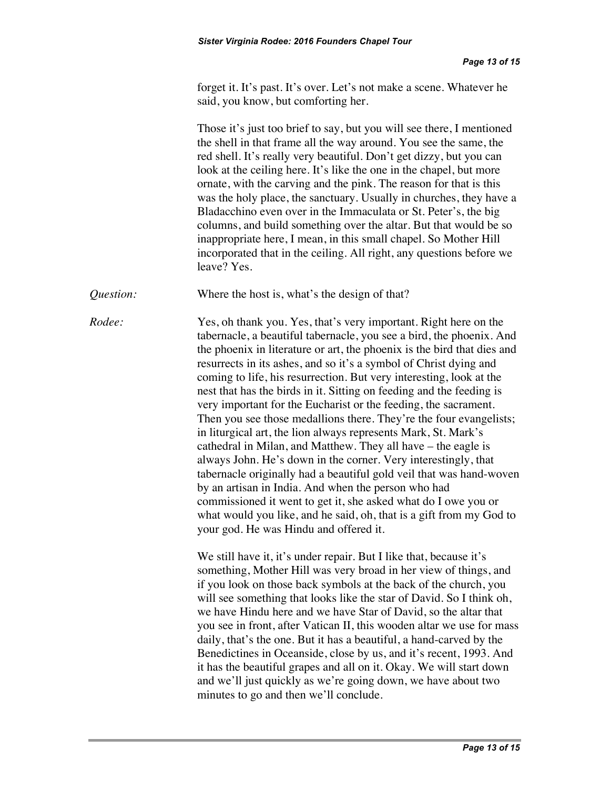forget it. It's past. It's over. Let's not make a scene. Whatever he said, you know, but comforting her.

Those it's just too brief to say, but you will see there, I mentioned the shell in that frame all the way around. You see the same, the red shell. It's really very beautiful. Don't get dizzy, but you can look at the ceiling here. It's like the one in the chapel, but more ornate, with the carving and the pink. The reason for that is this was the holy place, the sanctuary. Usually in churches, they have a Bladacchino even over in the Immaculata or St. Peter's, the big columns, and build something over the altar. But that would be so inappropriate here, I mean, in this small chapel. So Mother Hill incorporated that in the ceiling. All right, any questions before we leave? Yes.

*Question:* Where the host is, what's the design of that?

*Rodee:* Yes, oh thank you. Yes, that's very important. Right here on the tabernacle, a beautiful tabernacle, you see a bird, the phoenix. And the phoenix in literature or art, the phoenix is the bird that dies and resurrects in its ashes, and so it's a symbol of Christ dying and coming to life, his resurrection. But very interesting, look at the nest that has the birds in it. Sitting on feeding and the feeding is very important for the Eucharist or the feeding, the sacrament. Then you see those medallions there. They're the four evangelists; in liturgical art, the lion always represents Mark, St. Mark's cathedral in Milan, and Matthew. They all have – the eagle is always John. He's down in the corner. Very interestingly, that tabernacle originally had a beautiful gold veil that was hand-woven by an artisan in India. And when the person who had commissioned it went to get it, she asked what do I owe you or what would you like, and he said, oh, that is a gift from my God to your god. He was Hindu and offered it.

> We still have it, it's under repair. But I like that, because it's something, Mother Hill was very broad in her view of things, and if you look on those back symbols at the back of the church, you will see something that looks like the star of David. So I think oh, we have Hindu here and we have Star of David, so the altar that you see in front, after Vatican II, this wooden altar we use for mass daily, that's the one. But it has a beautiful, a hand-carved by the Benedictines in Oceanside, close by us, and it's recent, 1993. And it has the beautiful grapes and all on it. Okay. We will start down and we'll just quickly as we're going down, we have about two minutes to go and then we'll conclude.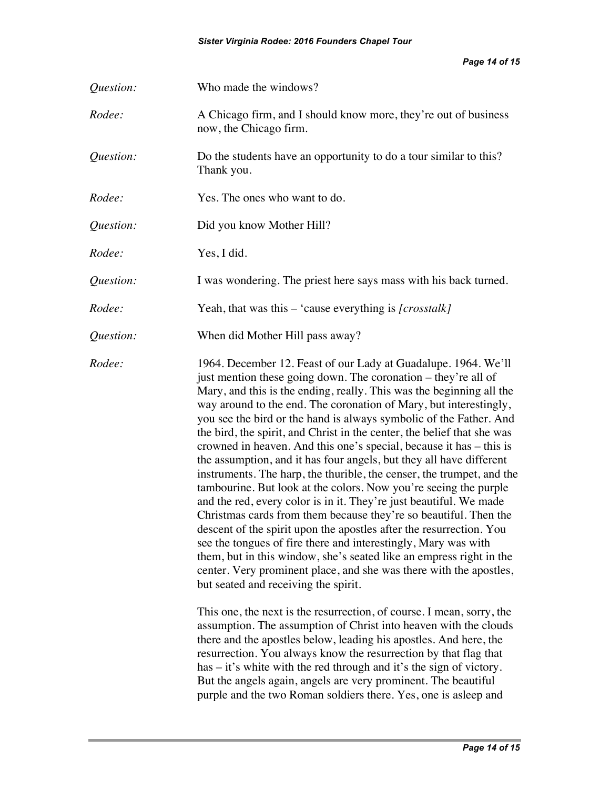*Page 14 of 15*

| Question: | Who made the windows?                                                                                                                                                                                                                                                                                                                                                                                                                                                                                                                                                                                                                                                                                                                                                                                                                                                                                                                                                                                                                                                                                                                                                                             |
|-----------|---------------------------------------------------------------------------------------------------------------------------------------------------------------------------------------------------------------------------------------------------------------------------------------------------------------------------------------------------------------------------------------------------------------------------------------------------------------------------------------------------------------------------------------------------------------------------------------------------------------------------------------------------------------------------------------------------------------------------------------------------------------------------------------------------------------------------------------------------------------------------------------------------------------------------------------------------------------------------------------------------------------------------------------------------------------------------------------------------------------------------------------------------------------------------------------------------|
| Rodee:    | A Chicago firm, and I should know more, they're out of business<br>now, the Chicago firm.                                                                                                                                                                                                                                                                                                                                                                                                                                                                                                                                                                                                                                                                                                                                                                                                                                                                                                                                                                                                                                                                                                         |
| Question: | Do the students have an opportunity to do a tour similar to this?<br>Thank you.                                                                                                                                                                                                                                                                                                                                                                                                                                                                                                                                                                                                                                                                                                                                                                                                                                                                                                                                                                                                                                                                                                                   |
| Rodee:    | Yes. The ones who want to do.                                                                                                                                                                                                                                                                                                                                                                                                                                                                                                                                                                                                                                                                                                                                                                                                                                                                                                                                                                                                                                                                                                                                                                     |
| Question: | Did you know Mother Hill?                                                                                                                                                                                                                                                                                                                                                                                                                                                                                                                                                                                                                                                                                                                                                                                                                                                                                                                                                                                                                                                                                                                                                                         |
| Rodee:    | Yes, I did.                                                                                                                                                                                                                                                                                                                                                                                                                                                                                                                                                                                                                                                                                                                                                                                                                                                                                                                                                                                                                                                                                                                                                                                       |
| Question: | I was wondering. The priest here says mass with his back turned.                                                                                                                                                                                                                                                                                                                                                                                                                                                                                                                                                                                                                                                                                                                                                                                                                                                                                                                                                                                                                                                                                                                                  |
| Rodee:    | Yeah, that was this $-$ 'cause everything is [ <i>crosstalk</i> ]                                                                                                                                                                                                                                                                                                                                                                                                                                                                                                                                                                                                                                                                                                                                                                                                                                                                                                                                                                                                                                                                                                                                 |
| Question: | When did Mother Hill pass away?                                                                                                                                                                                                                                                                                                                                                                                                                                                                                                                                                                                                                                                                                                                                                                                                                                                                                                                                                                                                                                                                                                                                                                   |
| Rodee:    | 1964. December 12. Feast of our Lady at Guadalupe. 1964. We'll<br>just mention these going down. The coronation – they're all of<br>Mary, and this is the ending, really. This was the beginning all the<br>way around to the end. The coronation of Mary, but interestingly,<br>you see the bird or the hand is always symbolic of the Father. And<br>the bird, the spirit, and Christ in the center, the belief that she was<br>crowned in heaven. And this one's special, because it has – this is<br>the assumption, and it has four angels, but they all have different<br>instruments. The harp, the thurible, the censer, the trumpet, and the<br>tambourine. But look at the colors. Now you're seeing the purple<br>and the red, every color is in it. They're just beautiful. We made<br>Christmas cards from them because they're so beautiful. Then the<br>descent of the spirit upon the apostles after the resurrection. You<br>see the tongues of fire there and interestingly, Mary was with<br>them, but in this window, she's seated like an empress right in the<br>center. Very prominent place, and she was there with the apostles,<br>but seated and receiving the spirit. |
|           | This one, the next is the resurrection, of course. I mean, sorry, the<br>assumption. The assumption of Christ into heaven with the clouds<br>there and the apostles below, leading his apostles. And here, the<br>resurrection. You always know the resurrection by that flag that<br>has – it's white with the red through and it's the sign of victory.<br>But the angels again, angels are very prominent. The beautiful<br>purple and the two Roman soldiers there. Yes, one is asleep and                                                                                                                                                                                                                                                                                                                                                                                                                                                                                                                                                                                                                                                                                                    |